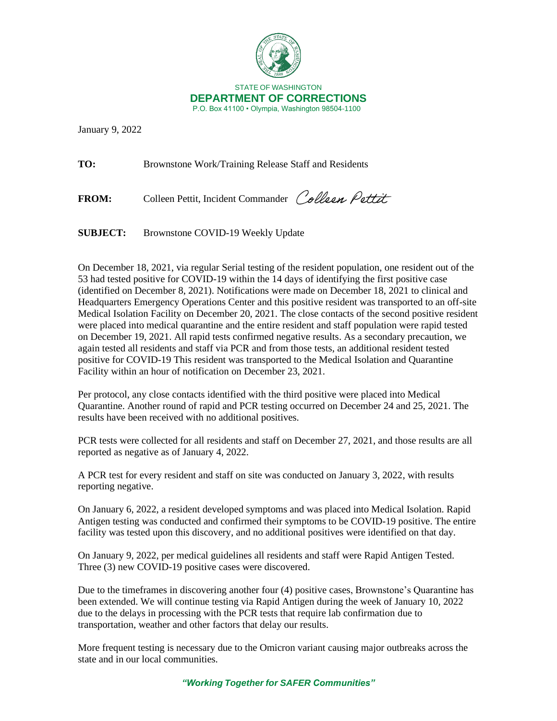

January 9, 2022

**TO:** Brownstone Work/Training Release Staff and Residents

FROM: Colleen Pettit, Incident Commander Colleen Pettit

**SUBJECT:** Brownstone COVID-19 Weekly Update

On December 18, 2021, via regular Serial testing of the resident population, one resident out of the 53 had tested positive for COVID-19 within the 14 days of identifying the first positive case (identified on December 8, 2021). Notifications were made on December 18, 2021 to clinical and Headquarters Emergency Operations Center and this positive resident was transported to an off-site Medical Isolation Facility on December 20, 2021. The close contacts of the second positive resident were placed into medical quarantine and the entire resident and staff population were rapid tested on December 19, 2021. All rapid tests confirmed negative results. As a secondary precaution, we again tested all residents and staff via PCR and from those tests, an additional resident tested positive for COVID-19 This resident was transported to the Medical Isolation and Quarantine Facility within an hour of notification on December 23, 2021.

Per protocol, any close contacts identified with the third positive were placed into Medical Quarantine. Another round of rapid and PCR testing occurred on December 24 and 25, 2021. The results have been received with no additional positives.

PCR tests were collected for all residents and staff on December 27, 2021, and those results are all reported as negative as of January 4, 2022.

A PCR test for every resident and staff on site was conducted on January 3, 2022, with results reporting negative.

On January 6, 2022, a resident developed symptoms and was placed into Medical Isolation. Rapid Antigen testing was conducted and confirmed their symptoms to be COVID-19 positive. The entire facility was tested upon this discovery, and no additional positives were identified on that day.

On January 9, 2022, per medical guidelines all residents and staff were Rapid Antigen Tested. Three (3) new COVID-19 positive cases were discovered.

Due to the timeframes in discovering another four (4) positive cases, Brownstone's Quarantine has been extended. We will continue testing via Rapid Antigen during the week of January 10, 2022 due to the delays in processing with the PCR tests that require lab confirmation due to transportation, weather and other factors that delay our results.

More frequent testing is necessary due to the Omicron variant causing major outbreaks across the state and in our local communities.

*"Working Together for SAFER Communities"*